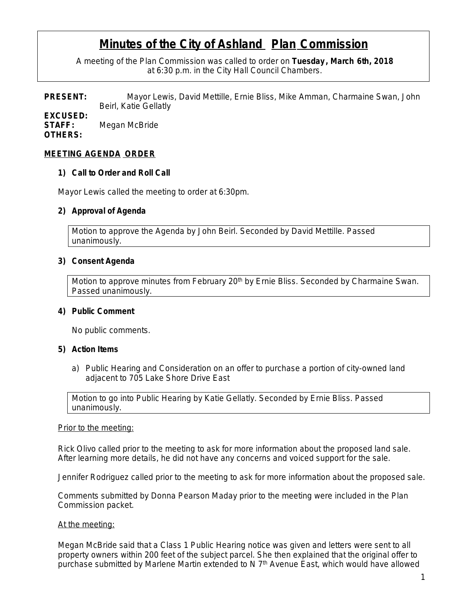# **Minutes of the City of Ashland Plan Commission**

A meeting of the Plan Commission was called to order on **Tuesday , March 6th, 2018** at 6:30 p.m. in the City Hall Council Chambers.

**PRESENT:** Mayor Lewis, David Mettille, Ernie Bliss, Mike Amman, Charmaine Swan, John Beirl, Katie Gellatly

**EXCUSED: STAFF:** Megan McBride **OTHERS:**

#### **MEETING AGENDA ORDER**

#### **1) Call to Order and Roll Call**

Mayor Lewis called the meeting to order at 6:30pm.

### **2) Approval of Agenda**

Motion to approve the Agenda by John Beirl. Seconded by David Mettille. Passed unanimously.

#### **3) Consent Agenda**

Motion to approve minutes from February 20<sup>th</sup> by Ernie Bliss. Seconded by Charmaine Swan. Passed unanimously.

#### **4) Public Comment**

No public comments.

#### **5) Action Items**

a) Public Hearing and Consideration on an offer to purchase a portion of city-owned land adjacent to 705 Lake Shore Drive East

Motion to go into Public Hearing by Katie Gellatly. Seconded by Ernie Bliss. Passed unanimously.

#### *Prior to the meeting:*

Rick Olivo called prior to the meeting to ask for more information about the proposed land sale. After learning more details, he did not have any concerns and voiced support for the sale.

Jennifer Rodriguez called prior to the meeting to ask for more information about the proposed sale.

Comments submitted by Donna Pearson Maday prior to the meeting were included in the Plan Commission packet.

#### *At the meeting:*

Megan McBride said that a Class 1 Public Hearing notice was given and letters were sent to all property owners within 200 feet of the subject parcel. She then explained that the original offer to purchase submitted by Marlene Martin extended to N 7<sup>th</sup> Avenue East, which would have allowed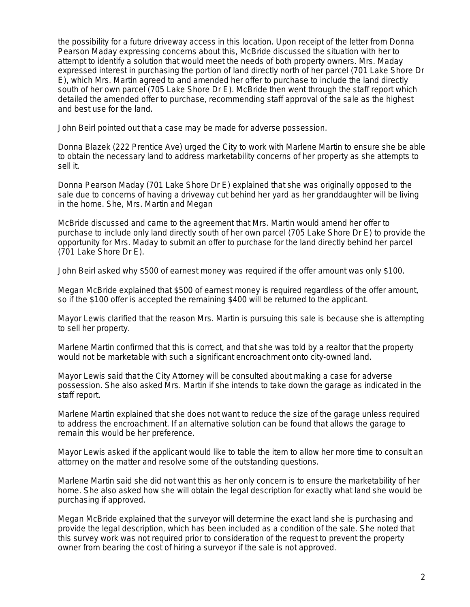the possibility for a future driveway access in this location. Upon receipt of the letter from Donna Pearson Maday expressing concerns about this, McBride discussed the situation with her to attempt to identify a solution that would meet the needs of both property owners. Mrs. Maday expressed interest in purchasing the portion of land directly north of her parcel (701 Lake Shore Dr E), which Mrs. Martin agreed to and amended her offer to purchase to include the land directly south of her own parcel (705 Lake Shore Dr E). McBride then went through the staff report which detailed the amended offer to purchase, recommending staff approval of the sale as the highest and best use for the land.

John Beirl pointed out that a case may be made for adverse possession.

Donna Blazek (222 Prentice Ave) urged the City to work with Marlene Martin to ensure she be able to obtain the necessary land to address marketability concerns of her property as she attempts to sell it.

Donna Pearson Maday (701 Lake Shore Dr E) explained that she was originally opposed to the sale due to concerns of having a driveway cut behind her yard as her granddaughter will be living in the home. She, Mrs. Martin and Megan

McBride discussed and came to the agreement that Mrs. Martin would amend her offer to purchase to include only land directly south of her own parcel (705 Lake Shore Dr E) to provide the opportunity for Mrs. Maday to submit an offer to purchase for the land directly behind her parcel (701 Lake Shore Dr E).

John Beirl asked why \$500 of earnest money was required if the offer amount was only \$100.

Megan McBride explained that \$500 of earnest money is required regardless of the offer amount, so if the \$100 offer is accepted the remaining \$400 will be returned to the applicant.

Mayor Lewis clarified that the reason Mrs. Martin is pursuing this sale is because she is attempting to sell her property.

Marlene Martin confirmed that this is correct, and that she was told by a realtor that the property would not be marketable with such a significant encroachment onto city-owned land.

Mayor Lewis said that the City Attorney will be consulted about making a case for adverse possession. She also asked Mrs. Martin if she intends to take down the garage as indicated in the staff report.

Marlene Martin explained that she does not want to reduce the size of the garage unless required to address the encroachment. If an alternative solution can be found that allows the garage to remain this would be her preference.

Mayor Lewis asked if the applicant would like to table the item to allow her more time to consult an attorney on the matter and resolve some of the outstanding questions.

Marlene Martin said she did not want this as her only concern is to ensure the marketability of her home. She also asked how she will obtain the legal description for exactly what land she would be purchasing if approved.

Megan McBride explained that the surveyor will determine the exact land she is purchasing and provide the legal description, which has been included as a condition of the sale. She noted that this survey work was not required prior to consideration of the request to prevent the property owner from bearing the cost of hiring a surveyor if the sale is not approved.